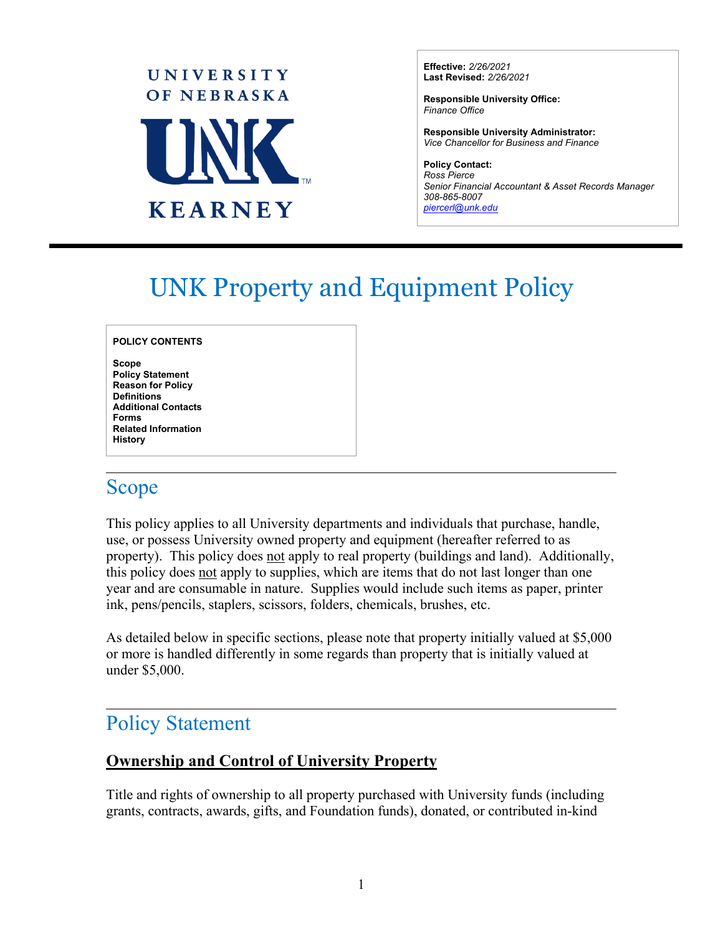

**Effective:** *2/26/2021* **Last Revised:** *2/26/2021*

**Responsible University Office:** *Finance Office* 

**Responsible University Administrator:**  *Vice Chancellor for Business and Finance*

**Policy Contact:** *Ross Pierce Senior Financial Accountant & Asset Records Manager 308-865-8007 [piercerl@unk.edu](mailto:piercerl@unk.edu)*

# UNK Property and Equipment Policy

#### **POLICY CONTENTS**

**Scope Policy Statement Reason for Policy Definitions Additional Contacts Forms Related Information History** 

### Scope

 $\overline{a}$ 

 $\overline{a}$ 

This policy applies to all University departments and individuals that purchase, handle, use, or possess University owned property and equipment (hereafter referred to as property). This policy does not apply to real property (buildings and land). Additionally, this policy does not apply to supplies, which are items that do not last longer than one year and are consumable in nature. Supplies would include such items as paper, printer ink, pens/pencils, staplers, scissors, folders, chemicals, brushes, etc.

As detailed below in specific sections, please note that property initially valued at \$5,000 or more is handled differently in some regards than property that is initially valued at under \$5,000.

## Policy Statement

#### **Ownership and Control of University Property**

Title and rights of ownership to all property purchased with University funds (including grants, contracts, awards, gifts, and Foundation funds), donated, or contributed in-kind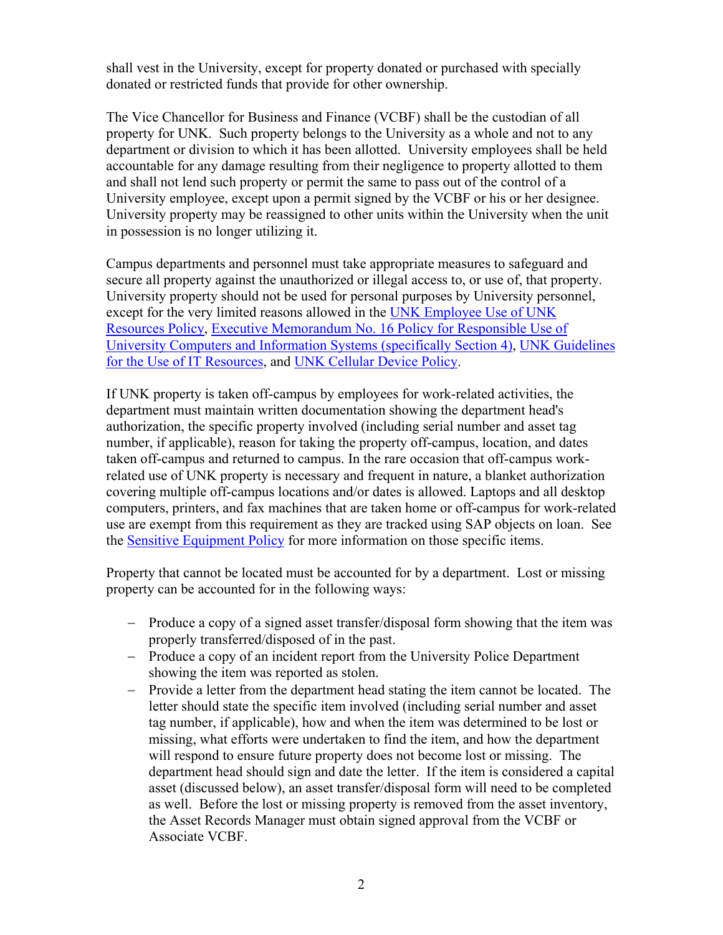shall vest in the University, except for property donated or purchased with specially donated or restricted funds that provide for other ownership.

The Vice Chancellor for Business and Finance (VCBF) shall be the custodian of all property for UNK. Such property belongs to the University as a whole and not to any department or division to which it has been allotted. University employees shall be held accountable for any damage resulting from their negligence to property allotted to them and shall not lend such property or permit the same to pass out of the control of a University employee, except upon a permit signed by the VCBF or his or her designee. University property may be reassigned to other units within the University when the unit in possession is no longer utilizing it.

Campus departments and personnel must take appropriate measures to safeguard and secure all property against the unauthorized or illegal access to, or use of, that property. University property should not be used for personal purposes by University personnel, except for the very limited reasons allowed in the [UNK Employee Use of UNK](https://www.unk.edu/about/compliance/files/employee-use-of-resources-policy.pdf)  [Resources Policy,](https://www.unk.edu/about/compliance/files/employee-use-of-resources-policy.pdf) [Executive Memorandum No. 16 Policy for Responsible Use of](https://nebraska.edu/-/media/unca/docs/offices-and-policies/policies/executive-memorandum/policy-for-responsible-use-of-university-computers-and-information-systems.pdf)  [University Computers and Information Systems \(specifically Section 4\)](https://nebraska.edu/-/media/unca/docs/offices-and-policies/policies/executive-memorandum/policy-for-responsible-use-of-university-computers-and-information-systems.pdf), [UNK Guidelines](https://www.unk.edu/offices/its/its_main_page_tabs-files/Policies/guidelines-for-the-use-of-information-technology-resources.pdf)  [for the Use of IT Resources,](https://www.unk.edu/offices/its/its_main_page_tabs-files/Policies/guidelines-for-the-use-of-information-technology-resources.pdf) and [UNK Cellular Device Policy.](https://www.unk.edu/about/files/cellular-device-policy.pdf)

If UNK property is taken off-campus by employees for work-related activities, the department must maintain written documentation showing the department head's authorization, the specific property involved (including serial number and asset tag number, if applicable), reason for taking the property off-campus, location, and dates taken off-campus and returned to campus. In the rare occasion that off-campus workrelated use of UNK property is necessary and frequent in nature, a blanket authorization covering multiple off-campus locations and/or dates is allowed. Laptops and all desktop computers, printers, and fax machines that are taken home or off-campus for work-related use are exempt from this requirement as they are tracked using SAP objects on loan. See the [Sensitive Equipment Policy](https://www.unk.edu/about/files/sensitive-equipment-policy.pdf) for more information on those specific items.

Property that cannot be located must be accounted for by a department. Lost or missing property can be accounted for in the following ways:

- − Produce a copy of a signed asset transfer/disposal form showing that the item was properly transferred/disposed of in the past.
- − Produce a copy of an incident report from the University Police Department showing the item was reported as stolen.
- − Provide a letter from the department head stating the item cannot be located. The letter should state the specific item involved (including serial number and asset tag number, if applicable), how and when the item was determined to be lost or missing, what efforts were undertaken to find the item, and how the department will respond to ensure future property does not become lost or missing. The department head should sign and date the letter. If the item is considered a capital asset (discussed below), an asset transfer/disposal form will need to be completed as well. Before the lost or missing property is removed from the asset inventory, the Asset Records Manager must obtain signed approval from the VCBF or Associate VCBF.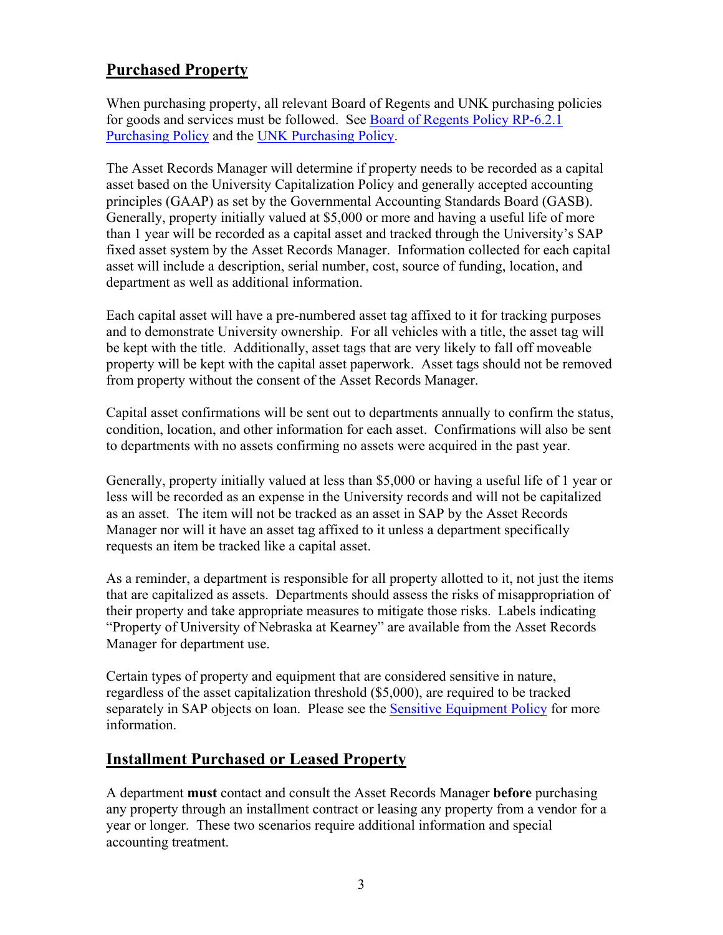#### **Purchased Property**

When purchasing property, all relevant Board of Regents and UNK purchasing policies for goods and services must be followed. See [Board of Regents Policy RP-6.2.1](https://nebraska.edu/-/media/unca/docs/offices-and-policies/policies/board-governing-documents/board-of-regents-policies.pdf?la=en)  [Purchasing Policy](https://nebraska.edu/-/media/unca/docs/offices-and-policies/policies/board-governing-documents/board-of-regents-policies.pdf?la=en) and the [UNK Purchasing Policy.](https://www.unk.edu/about/files/purchasing-policy.pdf)

The Asset Records Manager will determine if property needs to be recorded as a capital asset based on the University Capitalization Policy and generally accepted accounting principles (GAAP) as set by the Governmental Accounting Standards Board (GASB). Generally, property initially valued at \$5,000 or more and having a useful life of more than 1 year will be recorded as a capital asset and tracked through the University's SAP fixed asset system by the Asset Records Manager. Information collected for each capital asset will include a description, serial number, cost, source of funding, location, and department as well as additional information.

Each capital asset will have a pre-numbered asset tag affixed to it for tracking purposes and to demonstrate University ownership. For all vehicles with a title, the asset tag will be kept with the title. Additionally, asset tags that are very likely to fall off moveable property will be kept with the capital asset paperwork. Asset tags should not be removed from property without the consent of the Asset Records Manager.

Capital asset confirmations will be sent out to departments annually to confirm the status, condition, location, and other information for each asset. Confirmations will also be sent to departments with no assets confirming no assets were acquired in the past year.

Generally, property initially valued at less than \$5,000 or having a useful life of 1 year or less will be recorded as an expense in the University records and will not be capitalized as an asset. The item will not be tracked as an asset in SAP by the Asset Records Manager nor will it have an asset tag affixed to it unless a department specifically requests an item be tracked like a capital asset.

As a reminder, a department is responsible for all property allotted to it, not just the items that are capitalized as assets. Departments should assess the risks of misappropriation of their property and take appropriate measures to mitigate those risks. Labels indicating "Property of University of Nebraska at Kearney" are available from the Asset Records Manager for department use.

Certain types of property and equipment that are considered sensitive in nature, regardless of the asset capitalization threshold (\$5,000), are required to be tracked separately in SAP objects on loan. Please see the [Sensitive Equipment Policy](https://www.unk.edu/about/files/sensitive-equipment-policy.pdf) for more information.

#### **Installment Purchased or Leased Property**

A department **must** contact and consult the Asset Records Manager **before** purchasing any property through an installment contract or leasing any property from a vendor for a year or longer. These two scenarios require additional information and special accounting treatment.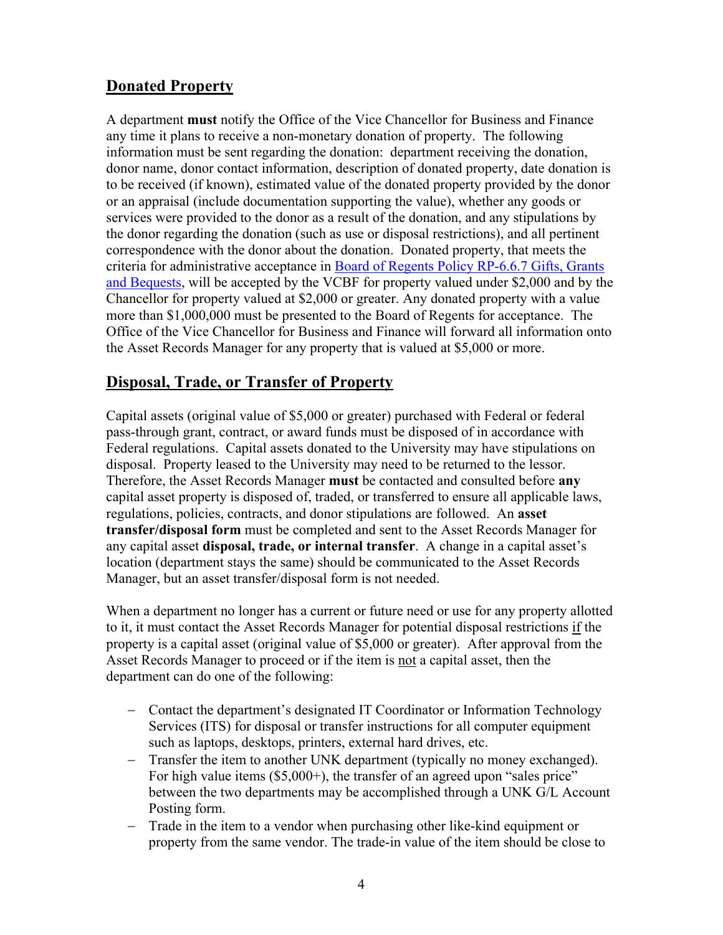#### **Donated Property**

A department **must** notify the Office of the Vice Chancellor for Business and Finance any time it plans to receive a non-monetary donation of property. The following information must be sent regarding the donation: department receiving the donation, donor name, donor contact information, description of donated property, date donation is to be received (if known), estimated value of the donated property provided by the donor or an appraisal (include documentation supporting the value), whether any goods or services were provided to the donor as a result of the donation, and any stipulations by the donor regarding the donation (such as use or disposal restrictions), and all pertinent correspondence with the donor about the donation. Donated property, that meets the criteria for administrative acceptance in [Board of Regents Policy RP-6.6.7 Gifts, Grants](https://nebraska.edu/-/media/unca/docs/offices-and-policies/policies/board-governing-documents/board-of-regents-policies.pdf?la=en)  [and Bequests,](https://nebraska.edu/-/media/unca/docs/offices-and-policies/policies/board-governing-documents/board-of-regents-policies.pdf?la=en) will be accepted by the VCBF for property valued under \$2,000 and by the Chancellor for property valued at \$2,000 or greater. Any donated property with a value more than \$1,000,000 must be presented to the Board of Regents for acceptance. The Office of the Vice Chancellor for Business and Finance will forward all information onto the Asset Records Manager for any property that is valued at \$5,000 or more.

#### **Disposal, Trade, or Transfer of Property**

Capital assets (original value of \$5,000 or greater) purchased with Federal or federal pass-through grant, contract, or award funds must be disposed of in accordance with Federal regulations. Capital assets donated to the University may have stipulations on disposal. Property leased to the University may need to be returned to the lessor. Therefore, the Asset Records Manager **must** be contacted and consulted before **any** capital asset property is disposed of, traded, or transferred to ensure all applicable laws, regulations, policies, contracts, and donor stipulations are followed. An **asset transfer/disposal form** must be completed and sent to the Asset Records Manager for any capital asset **disposal, trade, or internal transfer**. A change in a capital asset's location (department stays the same) should be communicated to the Asset Records Manager, but an asset transfer/disposal form is not needed.

When a department no longer has a current or future need or use for any property allotted to it, it must contact the Asset Records Manager for potential disposal restrictions if the property is a capital asset (original value of \$5,000 or greater). After approval from the Asset Records Manager to proceed or if the item is not a capital asset, then the department can do one of the following:

- − Contact the department's designated IT Coordinator or Information Technology Services (ITS) for disposal or transfer instructions for all computer equipment such as laptops, desktops, printers, external hard drives, etc.
- Transfer the item to another UNK department (typically no money exchanged). For high value items (\$5,000+), the transfer of an agreed upon "sales price" between the two departments may be accomplished through a UNK G/L Account Posting form.
- − Trade in the item to a vendor when purchasing other like-kind equipment or property from the same vendor. The trade-in value of the item should be close to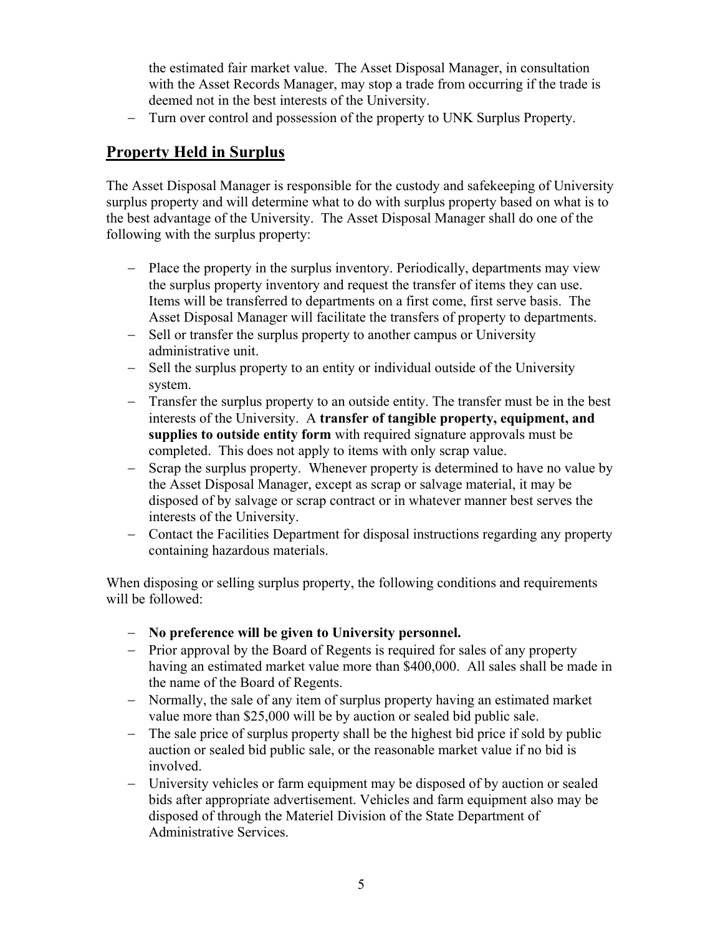the estimated fair market value. The Asset Disposal Manager, in consultation with the Asset Records Manager, may stop a trade from occurring if the trade is deemed not in the best interests of the University.

− Turn over control and possession of the property to UNK Surplus Property.

### **Property Held in Surplus**

The Asset Disposal Manager is responsible for the custody and safekeeping of University surplus property and will determine what to do with surplus property based on what is to the best advantage of the University. The Asset Disposal Manager shall do one of the following with the surplus property:

- − Place the property in the surplus inventory. Periodically, departments may view the surplus property inventory and request the transfer of items they can use. Items will be transferred to departments on a first come, first serve basis. The Asset Disposal Manager will facilitate the transfers of property to departments.
- − Sell or transfer the surplus property to another campus or University administrative unit.
- − Sell the surplus property to an entity or individual outside of the University system.
- − Transfer the surplus property to an outside entity. The transfer must be in the best interests of the University. A **transfer of tangible property, equipment, and supplies to outside entity form** with required signature approvals must be completed. This does not apply to items with only scrap value.
- − Scrap the surplus property. Whenever property is determined to have no value by the Asset Disposal Manager, except as scrap or salvage material, it may be disposed of by salvage or scrap contract or in whatever manner best serves the interests of the University.
- − Contact the Facilities Department for disposal instructions regarding any property containing hazardous materials.

When disposing or selling surplus property, the following conditions and requirements will be followed:

- − **No preference will be given to University personnel.**
- − Prior approval by the Board of Regents is required for sales of any property having an estimated market value more than \$400,000. All sales shall be made in the name of the Board of Regents.
- − Normally, the sale of any item of surplus property having an estimated market value more than \$25,000 will be by auction or sealed bid public sale.
- − The sale price of surplus property shall be the highest bid price if sold by public auction or sealed bid public sale, or the reasonable market value if no bid is involved.
- − University vehicles or farm equipment may be disposed of by auction or sealed bids after appropriate advertisement. Vehicles and farm equipment also may be disposed of through the Materiel Division of the State Department of Administrative Services.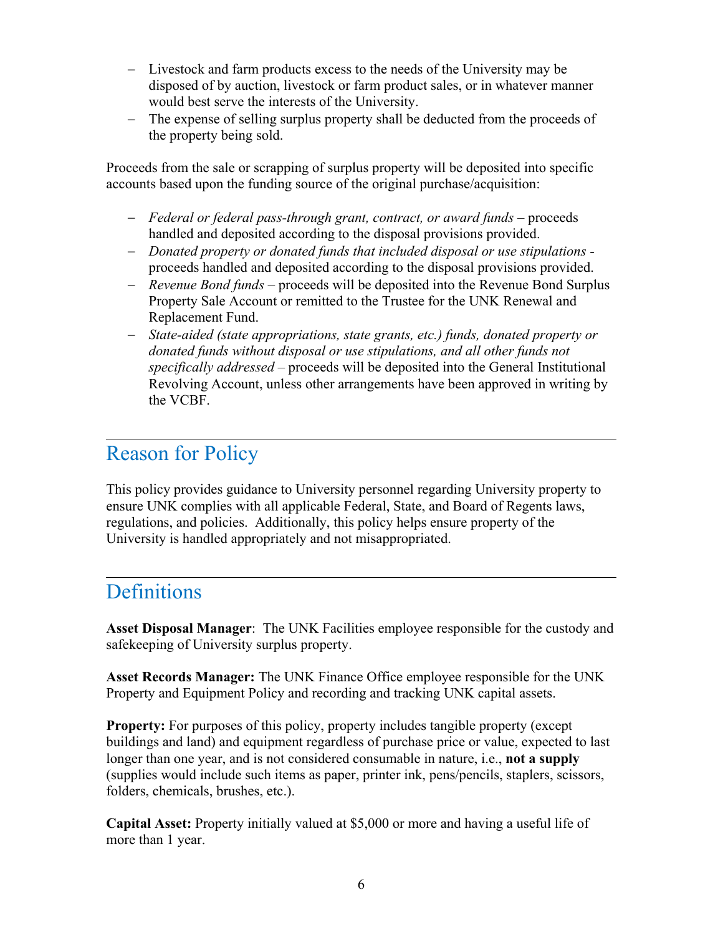- − Livestock and farm products excess to the needs of the University may be disposed of by auction, livestock or farm product sales, or in whatever manner would best serve the interests of the University.
- − The expense of selling surplus property shall be deducted from the proceeds of the property being sold.

Proceeds from the sale or scrapping of surplus property will be deposited into specific accounts based upon the funding source of the original purchase/acquisition:

- − *Federal or federal pass-through grant, contract, or award funds* proceeds handled and deposited according to the disposal provisions provided.
- − *Donated property or donated funds that included disposal or use stipulations* proceeds handled and deposited according to the disposal provisions provided.
- − *Revenue Bond funds* proceeds will be deposited into the Revenue Bond Surplus Property Sale Account or remitted to the Trustee for the UNK Renewal and Replacement Fund.
- − *State-aided (state appropriations, state grants, etc.) funds, donated property or donated funds without disposal or use stipulations, and all other funds not specifically addressed* – proceeds will be deposited into the General Institutional Revolving Account, unless other arrangements have been approved in writing by the VCBF.

### Reason for Policy

This policy provides guidance to University personnel regarding University property to ensure UNK complies with all applicable Federal, State, and Board of Regents laws, regulations, and policies. Additionally, this policy helps ensure property of the University is handled appropriately and not misappropriated.

### Definitions

 $\overline{a}$ 

 $\overline{a}$ 

**Asset Disposal Manager**: The UNK Facilities employee responsible for the custody and safekeeping of University surplus property.

**Asset Records Manager:** The UNK Finance Office employee responsible for the UNK Property and Equipment Policy and recording and tracking UNK capital assets.

**Property:** For purposes of this policy, property includes tangible property (except buildings and land) and equipment regardless of purchase price or value, expected to last longer than one year, and is not considered consumable in nature, i.e., **not a supply** (supplies would include such items as paper, printer ink, pens/pencils, staplers, scissors, folders, chemicals, brushes, etc.).

**Capital Asset:** Property initially valued at \$5,000 or more and having a useful life of more than 1 year.